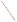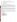# **AGENCY: ENVIRONMENTAL PROTECTION AGENCY (EPA)**

**TITLE: "Partnership for Clean Indoor Air Outreach, Communication and Education"** 

**ACTION: Request for Proposals (RFP)** 

**RFP No: EPA-OAR-ORIA-08-03** 

# **CATALOG OF FEDERAL DOMESTIC ASSISTANCE (CFDA): 66.034**

**DATES:** The closing date for receipt of hard copy proposal packages is March 7, 2008, at 4:00 p.m., EST. All hard copies of proposal packages must be received by Annette Johnson, 4:00 p.m., EST in order to be considered for funding. Electronic submissions must be submitted via Grants.gov by March 7, 2008, 11:59 p.m., EST. Proposals received after the closing date and time will not be considered for funding. Final applications will be requested from those eligible entities whose proposal has been successfully evaluated and preliminarily recommended for award.

**SUMMARY:** EPA is seeking proposals from eligible entities to implement outreach, communication and education activities to support the Partnership for Clean Indoor Air in achieving its' mission to improve health, livelihood, and quality of life by reducing exposure to indoor air pollution from household energy use in developing countries. Eligible entities with experience implementing outreach and communication efforts that have achieved positive outcomes in the international household energy and health sector are encouraged to submit proposals.

**FUNDING/AWARDS:** The total funding for this competitive opportunity is estimated to be approximately \$600,000 over a three-year period, (approximately \$100,000 to \$200,000 per year). EPA anticipates awarding approximately one cooperative agreement from this announcement, subject to availability of funds and the quality of proposals received.

# **CONTENTS BY SECTION**

- **I. Funding Opportunity Description**
- **II. Award Information**
- **III. Eligibility Information**
- **IV. Proposal and Submission Information**
- **V. Proposal Review Information**
- **VI. Award Administration Information**
- **VII. Agency Contacts**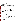# **I. FUNDING OPPORTUNITY DESCRIPTION**

## **A. Background**

Approximately three billion people worldwide burn traditional biomass (e.g., wood, dung, crop residues) and coal indoors for home cooking and heating. The number of people using these fuels is expected to rise substantially by 2020. According to the World Health Organization, this widespread use results in the premature deaths of an estimated 1.5 million people each year from diseases and infections caused by breathing elevated levels of indoor smoke, with women and children being most significantly affected. Indoor air pollution from household energy is the fourth leading health risk in poor developing countries.

In response to this challenge, the United States Environmental Protection Agency, along with other governments and organizations, launched the global Partnership for Clean Indoor Air at the World Summit on Sustainable Development in Johannesburg in September 2002. The Partnership's mission is to improve health, livelihood, and quality of life by reducing exposure to indoor air pollution, primarily among women and children, from household energy use in developing countries. The Partnership is focusing on four priority areas: incorporating social and cultural practices to promote adoption of new technology; developing local sustainable markets for improved technology; improving the design and performance of technologies; and monitoring indoor air pollution and socio-economic impacts of the interventions.

Many governments, non-governmental organizations, and other institutions have been working on this issue for decades, with varying degrees of success. The global nature of the problem, as well as the cross-sector impacts (e.g., health, environment, energy), make it enormously complicated to solve on a broader scale. To achieve sustainable progress, we must bring together key sectors to contribute their resources, expertise and experience. This voluntary Partnership currently has more than 150 public and private sector Partners from around the world working together to increase the use of clean, reliable, affordable, efficient and safe home cooking and heating practices in Africa, Asia and Latin America. The purpose of this cooperative agreement is to increase the exchange of information and action of this diverse group of partner organizations through effective outreach, communication and education on household energy and health.

# **B. Scope of Work**

# **Partnership Outreach, Communication and Education**

EPA is requesting proposals from eligible entities to increase the exchange of technical and programmatic information among the Partners and others working in the global household energy and health sectors and facilitate the promotion of effective approaches to household energy and health throughout partnering countries. Activities will promote and support direct information exchange within and between Asia, Africa and Latin America among technology users, technology and social science researchers, entrepreneurs, project implementers, program directors and policy makers. These exchanges will help participants share their experiences, identify lessons learned, and more rapidly assimilate insights gained around the world.

Specific activities may include such things as:

- Sharing and disseminating information to Partners on relevant household energy and health issues, including publishing an electronic quarterly newsletter and periodic announcements;
- Creating and maintaining a Web site to provide easy access to relevant information, activities and resources, highlighting Partnership accomplishments, and profiling Partner organizations;
- Recruiting additional non-governmental organizations, private firms, research institutions, and country governments into the Partnership or its activities;
- Seeking feedback from Partners on needs and synergies;
- Expanding the exchange of information and lessons learned, including dissemination of key technical documents through electronic means;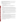- Organizing and providing logistical support for Partnership activities and related events (e.g. Partnership meetings, forums, thematic workshops and technical assistance activities, etc.);
- Assisting in the development of Partnership meetings and workshops (i.e., identifying technical presenters and participants);
- Compiling key findings from meetings, workshops and activities and disseminating them through established Partnership communication channels; and
- Expanding visibility for international household energy and health issues.

## **C. EPA Strategic Plan Linkage and Anticipated Outcomes/Outputs**

## **1. Linkage to EPA Strategic Plan**

This competitive funding announcement supports EPA's Goal 1: Clean Air and Global Climate Change; Objective 1.2 Healthier Indoor Air; Sub-objective 1.1.1 – More people Breathing Cleaner Air.

## **2. Outputs**

The term "output" means an environmental activity, effort, and/or associated work product related to an environmental goal and objective that will be produced or provided over a period of time or by a specified date. Outputs may be quantitative or qualitative but must be measurable during an assistance agreement funding period.

Project outputs should aim to increase the awareness, capacity and action of Partners and other governments, nongovernmental organizations, academic institutions and the private sector to reduce exposure to indoor air pollution from household energy use in developing countries. Examples of outputs include, but are not limited to the following:

- Prepare and disseminate an electronic quarterly publication to provide information on the activities of the Partnership and its Partners around the world. Regular features would include: spotlights on PCIA partners; feature articles; recent achievements and advances in household energy, indoor air pollution, and health; and upcoming events.
- Create and maintain a Web site to provide easy access to relevant information, activities and resources related to the Partnership.
- In collaboration with other Partner organizations, develop, coordinate and support the implementation of Partnership meetings, forums, and capacity building workshops.

# **3. Outcomes**

The term "outcome" means the result, effect or consequence that will occur from carrying out an environmental program or activity that is related to an environmental or programmatic goal or objective. Outcomes may be environmental, behavioral, health-related, or programmatic in nature, but must be quantitative. They may not necessarily be achievable within an assistance agreement funding period.

Projects to be funded under this announcement are expected to produce at least one, and preferably all, of the following environmental outcomes: increased awareness, capacity and action among Partner organizations to reduce indoor air pollution from household energy use in developing countries.

Therefore, applicants need to indicate how they will measure the degree of awareness, capacity and action achieved through their efforts. Progress reports and a final report will also be a required output, as specified in Section VI(C) of this announcement, "Reporting Requirement."

# **D. Supplementary Information**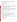The statutory authorities for this action are the Clean Air Act, Section 103(b) which authorizes the award of grants for the purpose of education, training and outreach to reduce exposure to indoor air pollution, and the National Environmental Program Act 102(2) (F) which authorizes international cooperation to solve environmental problems.

# **II. AWARD INFORMATION**

# **A. What is the amount of funding available?**

The total estimated funding expected to be available for award under this competitive opportunity is approximately \$600,000 over a three-year period.

# **B**. **Partial Funding**.

In appropriate circumstances, EPA reserves the right to partially fund proposals by funding discrete portions or phases of proposed projects. If EPA decides to partially fund a proposal, it will do so in a manner that does not prejudice any applicants or affect the basis upon which the proposal, or portion thereof, was evaluated and selected for award, and therefore maintains the integrity of the competition and selection process.

# **C. How many agreements will EPA award in this competition?**

EPA anticipates award of approximately one cooperative agreement under this announcement in value of approximately \$600,000, subject to the availability of funds and quality of evaluated proposals. In addition, EPA reserves the right to make additional awards under this announcement, consistent with Agency policy, if additional funding becomes available after the original selections. Any additional selections for awards will be made no later than six months from the date of original selection date.

# **D. What is the project period for awards resulting from this solicitation?**

The estimated project period for awards resulting from this solicitation will begin on August 1, 2008 through July 31, 2011. Proposed project periods may be up to 3 years.

# **E. Funding Type**

The funding for selected projects will be in the form of a cooperative agreement. Cooperative agreements permit substantial involvement between the EPA Project Officer and the selected applicants in the performance of the work supported. Although EPA will negotiate precise terms and conditions relating to substantial involvement as part of the award process, the anticipated substantial Federal involvement for this project will be:

- close monitoring of the successful applicant's performance to verify the results proposed by the applicant;
- collaboration during performance of the scope of work;
- in accordance with 40 CFR  $31.36(g)$ , review of proposed procurement;
- approving qualifications of key personnel (EPA will not select employees or contractors employed by the award recipient);
- review and comment on reports prepared under the cooperative agreement (the final decision on the content of reports rests with the recipient).

# **III. ELIGIBILITY INFORMATION**

# **A. Eligible Entities**

In accordance with CFDA 66.034, proposals will be accepted from States, local governments, territories, Indian Tribes,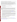and possessions of the U.S., including the District of Columbia, international organizations, public and private universities and colleges, hospitals, laboratories, other public or private non-profit institutions.

Non-profit organization, as defined by OMB Circular A-122, located at 2 CFR Part 230, means any corporation, trust, association, cooperative, or other organization which: (1) is operated primarily for scientific, educational, service, charitable, or similar purposes in the public interest; (2) is not organized primarily for profit; and (3) uses its net proceeds to maintain, improve, and/or expand its operations. For this purpose, the term "non-profit organization" excludes (i) colleges and universities; (ii) hospitals; (iii) state, local, and federally-recognized Indian tribal governments; and (iv) those non-profit organizations which are excluded from coverage of this part in accordance with § 230.20(c)

Non-profit organizations described in Section  $501(c)(4)$  of the Internal Revenue Code that engage in lobbying activities as defined in Section 3 of the Lobbying Disclosure Act of 1995 are not eligible to apply.

### **B. Cost Sharing or Matching**

There is no statutory or regulatory match requirement under the Clean Air Act Section 103.

### **C. Threshold Eligibility Criteria**

These are requirements that if not met by the time of proposal submission will result in elimination of the proposal from consideration for funding. Only proposals from eligible entities (see above) that meet all of these criteria will be evaluated against the ranking factors in Section V of this announcement. Applicants deemed ineligible for funding consideration as a result of the threshold eligibility review will be notified within 15 calendar days of the ineligibility determination.

1. a. Proposals must substantially comply with the proposal submission instructions and requirements set forth in Section IV of this announcement or else they will be rejected. However, where a page limit is expressed in Section IV with respect to the proposal, pages in excess of the page limitation will not be reviewed.

b. In addition, proposals must be received by the EPA or received through www.grants.gov, as specified in Section IV of this announcement, on or before the proposal submission deadline published in Section IV of this announcement. Applicants are responsible for ensuring that their proposal reaches the designated person/office specified in Section IV of the announcement by the submission deadline.

c. Proposals received after the submission deadline will be considered late and returned to the sender without further consideration unless the applicant can clearly demonstrate that it was late due to EPA mishandling. For hard copy submissions, where Section IV requires proposal receipt by a specific person/office by the submission deadline, receipt by an agency mailroom is not sufficient. Applicants should confirm receipt of their proposal with Annette Johnson as soon as possible after the submission deadline—failure to do so may result in your proposal not being reviewed.

2. Proposals must support Goal 1 "*Clean Air and Global Climate Change", "Protect and improve the air so it is healthy to breathe and risks to human health and the environment are reduced,"* of EPA's Strategic Plan.

# **IV. PROPOSAL AND SUBMISSION INFORMATION**

### **A. How to Obtain Proposal Package**

EPA encourages applicants to obtain proposal materials and apply electronically through http://www.grants.gov.

Applicants may also download individual grant application forms from EPA's Office of Grants and Debarment website at: http://www.epa.gov/ogd/grants/how\_to\_apply.htm.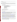To obtain a hard copy of materials, please send an email or written request to the Agency contact listed in Section VII of this announcement.

### **B. Form of Proposal Submission**

Applicants have the option to submit their proposals in *one of two ways*: 1) Hard copy by express delivery service, or 2) electronically through the Grants.gov website. Proposals will not be accepted via U.S. Postal Service. All proposals must be prepared, and include the information as described in Section IV.C. below, regardless of mode of transmission.

## **1. Hard Copy Submission**

Please provide one original of the proposal package (including signed and completed SF 424 and SF 424A forms) and four copies--**no binders or spiral binding please**--to:

### **Express Delivery Address (FedEx, UPS, DHL, etc.)**

U.S. Environmental Protection Agency ATTN: Annette Johnson (Mail Code: 6609J) OAR/ORIA/IED Room 440 1310 L Street, NW Washington, DC 20005 Phone: (202) – 343-9489

Proposals will not be accepted via U.S. Postal Service.

### **Hard Copy Proposal Submission Deadline**

All hard copies of proposal packages must be received in-house by Annette Johnson, March 7, 2008, 4:00 p.m., EST.

### **2. Grants.gov Submission**

The electronic submission of your proposal must be made by an official representative of your institution who is registered with Grants.gov and is authorized to sign applications for Federal assistance. For more information, go to http://www.grants.gov and click on "Get Registered" on the left side of the page.

**\*Registration process may take a week or longer to complete***.* If your organization is not currently registered with Grants.gov, please encourage your office to designate an Authorized Organization Representative (AOR) and ask that individual to begin the registration process as soon as possible.

To begin the application process under this grant announcement, go to http://www.grants.gov and click on the "Apply for Grants" tab on the left side of the page. Then click on "Apply Step 1: Download a Grant Application Package and Instructions" to download the Pure Edge viewer and obtain the application package for the announcement. To download the Pure Edge viewer click on the "Pure Edge Viewer" link. Once you have downloaded the viewer, you may retrieve the application package by entering the Funding Opportunity Number, **EPA-OAR-ORIA-08-03**, or the CFDA number that applies to the announcement (CFDA 66.034), in the appropriate field. You may also be able to access the application package by clicking on the button "How To Apply" at the top right of the synopsis page for this announcement on http://www.grants.gov (to find the synopsis page, go to http://www.grants.gov and click on the "Find Grant Opportunities" button on the left side of the page and then go to Search Opportunities and use the Browse by Agency feature to find EPA opportunities).

### **ATTENTION – Microsoft Vista and Word 2007 Users**

Please note that Grants.gov does not currently support the new Microsoft Vista Operating system. The Pure Edge software used by Grants.gov for forms is not compatible with Vista. Grants.gov will be reviewing this new product to determine if it can be supported in the future.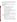In addition, the new version of Microsoft Word saves documents with the extension .DOCX. The Grants.gov system does not process Microsoft Word documents with the extension .DOCX. When submitting Microsoft Word attachments to Grants.gov, please use the version of Microsoft Word that ends in .DOC. If you have any questions regarding this matter please email the Grants.gov Contact Center at support@grants.gov or call 1-800-518-4726.

#### **Grants.gov Proposal Submission Deadline**

Your organization's AOR (Authorized Organization Representative) *must* submit your complete proposal package as described below, electronically to EPA through Grants.gov (http://www.grants.gov) no later than **11:59 p.m. EST on March 7, 2008.** 

#### **Proposal Materials**

#### **The following forms and documents are required to be submitted under this announcement:**

- I. Application for Federal Assistance (SF-424)
- II. Budget Information for Non-Construction Programs (SF-424A)
- III. Narrative Proposal **(as described in section IV.C of the announcement)**

The proposal package *must* include all of the following materials:

### **I. Standard Form (SF) 424, Application for Federal Assistance**

Complete the form. There are no attachments. Please be sure to include organization fax number and email address in Block 5 of the Standard Form SF 424.

Please note that the organizational Dun and Bradstreet (D&B) Data Universal Number System (DUNS) number must be included on the SF-424. Organizations may obtain a DUNS number at no cost by calling the toll-free DUNS number request line at 1-866-705-5711.

#### **II. Standard Form SF 424A – Budget Information**:

Complete the form. There are no attachments.

The total amount of federal funding requested for the project period should be shown on line 5(e) and on line  $6(k)$  of SF-424A, the amount of indirect costs should be entered on line  $6(i)$ . The indirect cost rate (i.e., a percentage), the base (e.g., personnel costs and fringe benefits), and the amount should also be indicated on line 22.

### **\*Selected applicant(s) will need to submit a copy of their current indirect cost rate that has been negotiated with a federal cognizant agency during application phase.**

#### **III. Narrative Proposal**

*The document should be readable in PDF, MS Word or Word Perfect WP6/7/8 for Windows and consolidated into a single file and be prepared in accordance with Section IV C of the announcement.* 

**\*\*Documents I through III** listed under Proposal Materials above should appear in the "Mandatory Documents" box on the www.grants.gov Grant Application Package page.

For documents I and II, click on the appropriate form and then click "Open Form" below the box. The fields that must be completed will be highlighted in yellow. Optional fields and completed fields will be displayed in white. If you enter an invalid response or incomplete information in a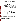field, you will receive an error message. When you have finished filling out each form, click "Save." When you return to the electronic Grant Application Package page, click on the form you just completed, and then click on the box that says, "Move Form to Submission List." This action will move the document over to the box that says, "Mandatory Completed Documents for Submission."

For document number III, the Narrative Proposal, you will need to attach electronic files. Prepare your narrative proposal as described above in Section IV.C of this announcement and save the document to your computer as an MS Word, PDF or WordPerfect file. When you are ready to attach your proposal to the application package, click on "Project Narrative Attachment Form," and open the form. Click "Add Mandatory Project Narrative File," and then attach your proposal narrative (previously saved to your computer) using the browse window that appears. You may then click "View Mandatory Project Narrative File" to view it. Enter a brief descriptive title of your project in the space beside "Mandatory Project Narrative File Filename;" the file name should be no more than 40 characters long. If there other attachments that you would like to submit to accompany your proposal, you may click "Add Optional Project Narrative File" and proceed as before. When you have finished attaching the necessary documents, click "Close Form." When you return to the "Grant Application Package" page, select the "Project Narrative Attachment Form" and click "Move Form to Submission List." The form should now appear in the box that says, "Mandatory Completed Documents for Submission."

Once your proposal package has been completed and saved, send it to your Authorized Representative (AOR) for submission to U.S. EPA through www.grants.gov. Please advise your AOR to close all other software programs before attempting to submit the application package through grants.gov.

In the "Application Filing Name" box, your AOR should enter your organization's name (abbreviate where possible), the fiscal year (e.g., FY08), and the grant category (e.g., Assoc Prog Supp). The filing name should not exceed 40 characters. From the "Grant Application Package" page, your AOR may submit the application package by clicking the "Submit" button that appears at the top of the page. The AOR will then be asked to verify the agency and funding opportunity number for which the application package is being submitted. If problems are encountered during the submission process, the AOR should reboot his/her computer before trying to submit the application package again. [It may be necessary to turn off the computer (not just restart it) before attempting to submit the package again.] **If the AOR continues to experience submission problems, he/she may contact grants.gov for assistance by phone at 1-800-518-4726** or email at http://www.grants.gov/help/help.jsp**.** 

Proposal packages submitted thru grants.gov will be time/date stamped electronically.

#### **C. Content of Proposal Submission**

All proposal submissions, regardless of mode of transmission, must contain a completed and signed SF-424, Application for Federal Assistance, a completed SF-424A, Budget Information—Non-Construction Programs, and a Narrative Proposal as described below.

#### **Narrative Proposal**

The Narrative Proposal (including sections 1-3 below) **cannot** exceed a maximum of 10 single-spaced typewritten pages, including the Summary Page. Pages in excess of 10 will not be considered.

\*Supporting materials, such as resumes and letters of support, are not required. If supporting materials are included as attachments, they will be included in the 10-page limit.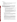### **1. Summary Page**

a. Project Title

b. Applicant Information. Include applicant (organization) name, address, contact person, phone number, fax and e-mail address.

c. Funding Requested. Specify the amount you are requesting from EPA.

d. Total Project Cost. Specify total cost of the project. Identify funding from other sources, including cost share or in-kind resources.

e. Project period. Provide beginning and ending dates.

### **2. Narrative Work Plan**

**\*\*The Narrative must explicitly describe how the proposed project meets the guidelines established in Sections I-III (including the threshold eligibility criteria in Section III.C) of this announcement, and address each of the evaluation criteria set forth in Section V.** 

- **a. Project Summary/Approach:** The summary shall contain the following components:
	- i. Detailed project summary, description of specific actions and methods to be undertaken and the responsible institutions, including estimated time line for each task.
	- ii. Description of the associated work products to be developed.
	- iii. Explanation of project benefits to the public, and specifically the potential audience(s) served.
	- iv. Description of the roles of the applicant and partners, if any.
	- v. Description of the applicant's organization and experience related to the proposed project.
	- vi. Description of staff expertise/qualifications, staff knowledge, and resources or the ability to obtain them, to successfully achieve the goals of the proposed project.
	- vii. Budget and estimated funding amounts for each work component/task. This section provides an opportunity for narrative description of the budget or aspects of the budget found in the SF-424A, such as "other" and "contractual."

#### **b. Environmental Results—Outcomes and Outputs**

Identify the expected quantitative and qualitative outcomes of the project **(See Section I)**, including what measurements will be used to track your progress towards achieving the outcomes and how the results of the project will be evaluated. Identify the expected project outputs and how progress towards achieving the outputs will be tracked and measured.

#### **c. Past Performance**

**I. Programmatic Capability:** Submit a list of federally funded assistance agreements **(assistance agreements include Federal grants and cooperative agreements but not Federal contracts)** similar in size, scope and relevance to the proposed project that your organization performed within the last three years (no more than 5, and preferably EPA agreements) and describe (i) whether, and how, you were able to successfully complete and manage those agreements and (ii) your history of meeting the reporting requirements under those agreements including submitting acceptable final technical reports.

\*In evaluating applicants under these factors in Section V, EPA will consider the information provided by the applicant and may also consider relevant information from other sources, including information from EPA files and from current and prior Federal agency grantors (e.g., to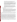verify and/or supplement the information provided by the applicant). If you do not have any relevant or available past performance or reporting information, please indicate this in the proposal and you will receive a neutral score for these factors under Section V.

**II. Reporting on Environmental Results--Outcomes and Outputs:** Submit a list of federally funded assistance agreements **(assistance agreements include Federal grants and cooperative agreements but not Federal contracts)** that **your organization** performed within the last three years ( no more than 5, and preferably EPA agreements**),** and describe how you documented and/or reported on whether you were making progress towards achieving the expected results (e.g., outputs and outcomes) under those agreements. If you were not making progress, please indicate whether, and how, you documented why not.

\*In evaluating applicants under this factor in Section V, EPA will consider the information provided by the applicant and may also consider relevant information from other sources, including information from EPA files and from current and prior Federal agency grantors (e.g., to verify and/or supplement the information provided by the applicant). If you do not have any relevant or available environmental results past performance information, please indicate this in the proposal and you will receive a neutral score for this factor under Section V.

### **3. Detailed Budget Narrative**

In addition to the SF 424A, please provide specified total costs of the project.

Management Fees: When formulating budgets for proposals/applications, applicants must not include management fees or similar charges in excess of the direct costs and indirect costs at the rate approved by the applicants cognizant audit agency, or at the rate provided for by the terms of the agreement negotiated with EPA. The term "management fees or similar charges" refers to expenses added to the direct costs in order to accumulate and reserve funds for ongoing business expenses, unforeseen liabilities, or for other similar costs that are not allowable under EPA assistance agreements. Management fees or similar charges may not be used to improve or expand the project funded under this agreement, except to the extent authorized as a direct cost of carrying out the scope of work.

#### **D.** Can funding be used for the applicant to make subawards, acquire contract services or fund partnerships?

EPA awards funds to one eligible applicant as the recipient even if other eligible applicants are named as partners or coapplicants or members of a coalition or consortium. The recipient is accountable to EPA for the proper expenditure of funds.

Funding may be used to provide subgrants or subawards of financial assistance, which includes using subawards or subgrants to fund partnerships, provided the recipient complies with applicable requirements for subawards or subgrants including those contained in 40 CFR Parts 30 or 31, as appropriate. Applicants must compete contracts for services and products, including consultant contracts, and conduct cost and price analyses to the extent required by the procurement provisions of the regulations at 40 CFR Parts 30 or 31, as appropriate. The regulations also contain limitations on consultant compensation. Applicants are not required to identify subawardees/subgrantees and/or contractors (including consultants) in their proposal/application. However, if they do, the fact that an applicant selected for award has named a specific subawardee/subgrantee, contractor, or consultant in the proposal/application EPA selects for funding does not relieve the applicant of its obligations to comply with subaward/subgrant and/or competitive procurement requirements as appropriate. Please note that applicants may not award sole source contracts to consulting, engineering or other firms assisting applicants with the proposal solely based on the firm's role in preparing the proposal/application.

Successful applicants cannot use subgrants or subawards to avoid requirements in EPA grant regulations for competitive procurement by using these instruments to acquire commercial services or products from for-profit organizations to carry out its assistance agreement. The nature of the transaction between the recipient and the subawardee or subgrantee must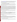be consistent with the standards for distinguishing between vendor transactions and subrecipient assistance under Subpart B Section .210 of OMB Circular A-133 , and the definitions of subaward at 40 CFR 30.2(ff) or subgrant at 40 CFR 31.3, as applicable. EPA will not be a party to these transactions. Applicants acquiring commercial goods or services must comply with the competitive procurement standards in 40 CFR Part 30 or 40 CFR Part 31.36 and cannot use a subaward/subgrant as the funding mechanism.

### **E. How will an applicant's proposed subawardees/subgrantees and contractors be considered during the evaluation process described in Section V of the announcement?**

Section V of the announcement describes the evaluation criteria and evaluation process that will be used by EPA to make selections under this announcement. During this evaluation, except for those criteria that relate to the applicant's own qualifications, past performance, and reporting history, the review panel will consider, if appropriate and relevant, the qualifications, expertise, and experience of:

(i) an applicant's named subawardees/subgrantees identified in the proposal/application if the applicant demonstrates in the proposal/application that if it receives an award that the subaward/subgrant will be properly awarded consistent with the applicable regulations in 40 CFR Parts 30 or 31. For example, applicants must not use subawards/subgrants to obtain commercial services or products from for profit firms or individual consultants. (ii) an applicant's named contractor(s), including consultants, identified in the proposal/application if the applicant demonstrates in its proposal/application that the contractor(s) was selected in compliance with the competitive Procurement Standards in 40 CFR Part 30 or 40 CFR 31.36 as appropriate. For example, an applicant must demonstrate that it selected the contractor(s) competitively or that a proper non-competitive sole-source award consistent with the regulations will be made to the contractor(s), that efforts were made to provide small and disadvantaged businesses with opportunities to compete, and that some form of cost or price analysis was conducted. EPA may not accept sole source justifications for contracts for services or products that are otherwise readily available in the commercial marketplace.

EPA will not consider the qualifications, experience, and expertise of named subawardees/subgrantees and/or named contractor(s) during the proposal/application evaluation process unless the applicant complies with these requirements.

# **F. Submission Dates and Times**

The deadline for receipt of hard copy proposal packages is **March 7, 2008 4:00 p.m., EST.** All hard copies of proposal packages must be received by **Annette Johnson,** 4:00 p.m., EST on the **March 7, 2008** in order to be considered for funding. Electronic submissions must be submitted via Grants.gov by **March 7, 2008, 11:59 p.m., EST.** Proposals received after the closing date and time will not be considered for funding.

Final (full) grant applications will be requested only from those eligible entities whose proposals have been tentatively selected for award. Additional instructions for final application packages will be provided when the applicant is notified of the tentative selection.

# **G. Confidential Business Information**

In accordance with 40 CFR 2.203, applicants may claim all or a portion of their proposal as confidential business information. EPA will evaluate confidential claims in accordance with 40 CFR Part 2. Applicants must clearly mark proposals or portions of proposals they claim as confidential. If no claim of confidentiality is made, EPA is not required to make the inquiry to the applicant otherwise required by 40 CFR 2.204 (c)(2) prior to disclosure. Note that under Public Law No. 105-277, data produced under an award is subject to the Freedom of Information Act.

# **H. Pre-Proposal Assistance and Communications**

In accordance with EPA's Assistance Agreement Competition Policy (EPA Order 5700.5A1), EPA staff will not meet with individual applicants to discuss draft proposals, provide informal comments on draft proposals, or provide advice to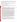applicants on how to respond to ranking criteria. Applicants are responsible for the contents of their proposals. However, EPA will respond to questions in writing from individual applicants regarding threshold eligibility criteria, administrative issues related to the submission of the proposal, and requests for clarification about the announcement. Please forward your questions to Johnson.annette@epa.gov.

All questions or comments must be communicated in writing via postal mail, facsimile, or electronic mail to the contact person listed above. Questions and answers will be posted until the closing date of this announcement at the OAR Grants/Funding webpage: http://www.epa.gov/air/grants\_funding.html.

# **V. PROPOSAL REVIEW INFORMATION**

Only those proposals that meet the threshold criteria in section III will be evaluated according to the criteria set forth below. Applicants should directly and explicitly address these criteria as part of their proposal submittal. Each proposal will be rated under a points system, with a total of 100 points possible.

### **A. Evaluation Criteria**

| <b>Criteria</b>                                                                                                 | Poi |
|-----------------------------------------------------------------------------------------------------------------|-----|
| 1. Project Summary/Approach: Under this criterion, the Agency will evaluate the following factors:              |     |
| (i) (15 pts) the extent and quality to which the proposal narrative includes a well-conceived strategy for      |     |
| addressing all of the requirements in Section I, Part B (Scope of Work) and Part C (EPA Strategic               | 3   |
| Plan Linkage and Anticipated Outcomes/Outputs), (ii) (10 pts) the extent and quality to which the               |     |
| proposal's goals are realistic and will be actually implemented by project end, (iii) (5 pts) whether the       |     |
| proposal sets forth a reasonable time schedule for the execution of the tasks associated with the               |     |
| project(s).                                                                                                     |     |
| 2. Environmental Results-Outcomes and Outputs: Extent and quality to which the proposal                         |     |
| describes the evaluative component of the project, including how the applicant's success in achieving           |     |
| the expected project outcomes and outputs, including those identified in <b>Section I</b> , will be tracked and |     |
| measured.                                                                                                       |     |
| 3. Past Performance--Programmatic Capability and Reporting on Environmental Results: Under                      |     |
| this criterion, the Agency will evaluate the applicant's technical ability to successfully complete and         |     |
| manage the proposed project taking into account the applicants: (i) (9 pts) past performance in                 |     |
| successfully completing and managing federally funded assistance agreements (assistance agreements              |     |
| include Federal grants and cooperative agreements but not Federal contracts) similar in size,                   | 2   |
| scope, and relevance to the proposed project performed within the last 3 years, (ii) (8 pts) history of         |     |
| meeting reporting requirements on federally funded assistance agreements (assistance agreements                 |     |
| include Federal grants and cooperative agreements but not Federal contracts) similar in size,                   |     |
| scope, and relevance to the proposed project performed within the last 3 years and submitting                   |     |
| acceptable final technical reports under those agreements, and (iii) (8 pts) past performance in                |     |
| documenting and/or reporting on progress towards achieving the expected outcomes and outputs (e.g.,             |     |
| results) under federally funded assistance agreements (assistance agreements include Federal grants             |     |
| and cooperative agreements but not Federal contracts) similar in size, scope and relevance to the               |     |
| proposed project within the last 3 years; and, if such progress was not made whether the                        |     |
| documentation and/or reports satisfactorily explained why not.                                                  |     |
| NOTE: In evaluating applicants under this criterion, the Agency will consider the information                   |     |
| provided by the applicant and may also consider relevant information from other sources including               |     |
| agency files and prior/current grantors (e.g., to verify and/or supplement the information supplied by          |     |
| the applicant). Applicants with no relevant or available past performance or reporting history will             |     |
| receive a neutral score for those elements under this criterion. A neutral score is half of the total points    |     |
| available in a subset of possible points.                                                                       |     |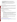| 4. Staff Expertise/Qualifications: (i) (5 pts) Description of staff expertise/qualifications, staff          |  |
|--------------------------------------------------------------------------------------------------------------|--|
| knowledge, and resources or the ability to obtain them, to successfully achieve the goals of the             |  |
| proposed project, (ii) (5 pts) and description of the applicant's organization and experience relating to    |  |
| the proposed project.                                                                                        |  |
| <b>5. Budget/Resources: (i) (5 pts)</b> Whether the proposed project budget is appropriate to accomplish the |  |
| proposed goals, objectives, and measurable environmental outcomes, $(ii)$ (5 pts) whether the budget         |  |
| provides an approximation of the percentage of the budget designated for each major activity.                |  |
|                                                                                                              |  |
|                                                                                                              |  |

### **B. Review and Selection Process**

Proposals will first be evaluated against the threshold factors listed in Section III. Only those proposals which meet all the threshold factors will be evaluated using the evaluation criteria listed above. Each proposal will be given a numerical score and will be rank-ordered according to the numerical score. Preliminary funding recommendations will be provided to the Approving Official based on this ranking.

### **C**. **Other Factors**

Final funding decisions will be made by the Approving Official based on the rankings and preliminary recommendation of the EPA evaluation team. In making the final funding decisions, the Approving Official may also consider programmatic priorities and geographic diversity of funds. Once final decisions have been made, a funding recommendation will be developed and forwarded to the EPA Award Official.

# **VI. AWARD ADMINISTRATION INFORMATION**

### **A. Award Notices**

Following evaluation of proposals, all applicants will be notified regarding their status.

### **Proposal Notifications.**

**a**. EPA anticipates notification to the *successful* applicant will be made, via telephone, electronic or postal mail by **April 15, 2008**. The notification will advise the applicant that its Proposal has been successfully evaluated and recommended for award. The notification will be sent to the original signer of the Standard Form (SF) 424, Application for Federal Assistance. The notice shall require submission of a Final Application. *(Refer to Section IV(B), Content and form of Application Submission.* 

This notification, which advises that the applicant's proposal has been recommended for award, is **not** an authorization to begin performance. The award notice signed by the EPA grants officer is the authorizing document and will be provided through postal mail. At a minimum, this process can take up to 90 days from the date of recommendation.

**b**. EPA anticipates notification to *unsuccessful* applicant(s) will be made via electronic or postal mail by **April 15, 2008**. The notification will be sent to the original signer of the Standard Form (SF) 424, Application for Federal Assistance.

### **B. Administrative and National Policy Requirement**

A listing and description of general EPA Regulations applicable to the award of assistance agreements may be viewed at: http://www.epa.gov/ogd/AppKit/applicable\_epa\_regulations\_and\_description.htm.

Executive Order 12372, Intergovernmental Review of Federal Programs may be applicable to awards, resulting from this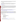announcement. Applicants selected for funding may be required to provide a copy of their proposal to their State Point of Contact (SPOC) for review, pursuant to Executive Order 12372, Intergovernmental Review of Federal Programs. This review is not required with the Initial Proposal and not all states require such a review.

## **C. DUNS Number**

All applicants **are required** to provide a Dun and Bradstreet (D&B) Data Universal Numbering System (DUNS) number when applying for a Federal grant or cooperative agreement. Applicants can receive a DUNS number, at no cost, by calling the dedicated toll-free DUNS Number request line at 1-866-705-5711, or visiting the D&B website at: http://www.dnb.com.

## **D. Reporting Requirement**

Quarterly progress reports and a detailed final report will be required. Quarterly reports summarizing technical progress, planned activities for next quarter and summary of expenditures are required. The final report shall be completed within 90 calendar days of the completion of the period of performance. The final report should include: summary of the project or activity, advances achieved and costs of the project or activity. In addition, the final report shall discuss the problems, successes, and lessons learned from the project or activity that could help overcome structural, organizational or technical obstacles to implementing a similar project elsewhere. The schedule for submission of quarterly reports will be established by EPA, after award.

## **E. Disputes**

Assistant agreement competition-related disputes will be resolved in accordance with the dispute resolution procedures published in 70 FR (Federal Register) 3629, 3630 (January 26, 2006) located on the web at: http://frwebgate.access.gpo.gov/cgi-bin/getpage.cgi?position=all&page=3629&dbname=2005\_register

### **F. Non-profit Administrative Capability**

Non-profit applicants that are recommended for funding under this announcement are subject to pre-award administrative capability reviews consistent with Section 8b, 8c and 9d of EPA Order 5700.8 - Policy on Assessing Capabilities of Non-Profit Applicants for Managing Assistance Awards (http://www.epa.gov/ogd/grants/award/5700\_8.pdf). In addition, nonprofit applicants that qualify for funding may, depending on the size of the award, be required to fill out and submit to the Grants Management Office the Administrative Capabilities Form, with supporting documents, contained in Appendix A of EPA Order 5700.8.

# **VII. AGENCY CONTACTS**

For further information, contact:

U.S. Environmental Protection Agency ATTN: Annette Johnson (Mail Code: 6609J) OAR/ORIA/IED Room 440 1310 L Street, NW Washington, DC 20005

Phone: (202) 343-9489

Annette Johnson via e-mail at johnson.annette@epa.gov. Please include the phrase "PCIA Request for Proposals" in the subject line of the e-mail.

All questions or comments must be communicated in writing via postal mail or electronic mail to the contact